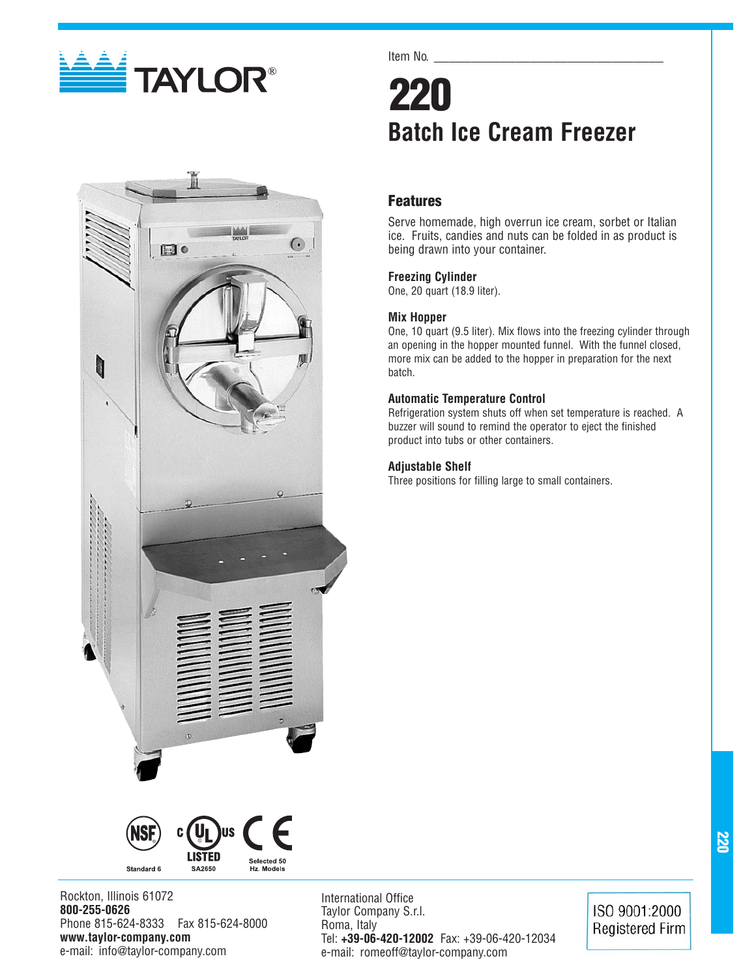



Item No.

# **220 Batch Ice Cream Freezer**

# **Features**

Serve homemade, high overrun ice cream, sorbet or Italian ice. Fruits, candies and nuts can be folded in as product is being drawn into your container.

# **Freezing Cylinder**

One, 20 quart (18.9 liter).

# **Mix Hopper**

One, 10 quart (9.5 liter). Mix flows into the freezing cylinder through an opening in the hopper mounted funnel. With the funnel closed, more mix can be added to the hopper in preparation for the next batch.

## **Automatic Temperature Control**

Refrigeration system shuts off when set temperature is reached. A buzzer will sound to remind the operator to eject the finished product into tubs or other containers.

## **Adjustable Shelf**

Three positions for filling large to small containers.



Rockton, Illinois 61072 **800-255-0626** Phone 815-624-8333 Fax 815-624-8000 **www.taylor-company.com** e-mail: info@taylor-company.com

International Office Taylor Company S.r.l. Roma, Italy Tel: **+39-06-420-12002** Fax: +39-06-420-12034 e-mail: romeoff@taylor-company.com

ISO 9001:2000 **Registered Firm**